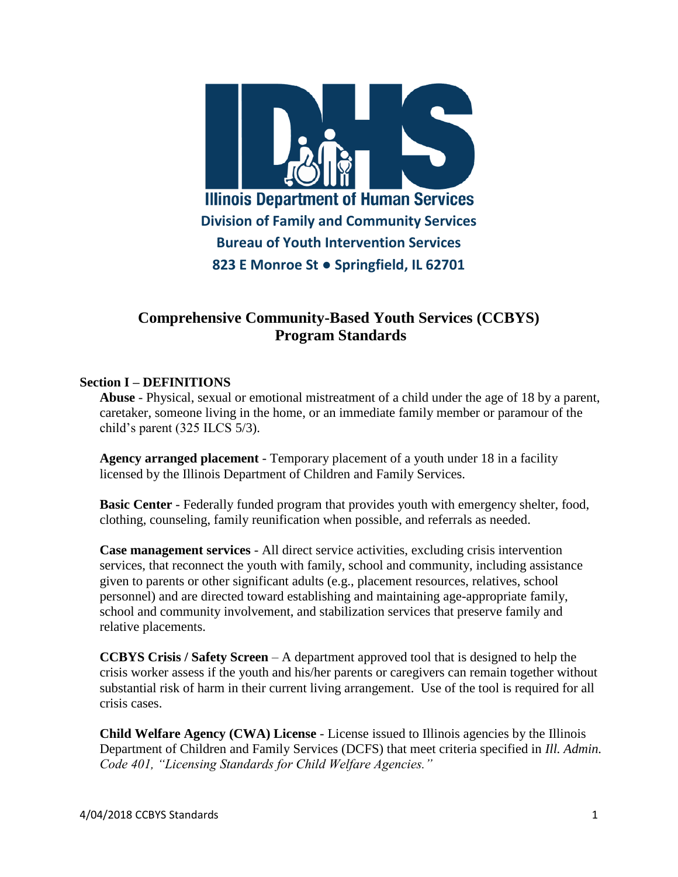

# **Comprehensive Community-Based Youth Services (CCBYS) Program Standards**

#### **Section I – DEFINITIONS**

**Abuse** - Physical, sexual or emotional mistreatment of a child under the age of 18 by a parent, caretaker, someone living in the home, or an immediate family member or paramour of the child's parent (325 ILCS 5/3).

**Agency arranged placement** - Temporary placement of a youth under 18 in a facility licensed by the Illinois Department of Children and Family Services.

**Basic Center** - Federally funded program that provides youth with emergency shelter, food, clothing, counseling, family reunification when possible, and referrals as needed.

**Case management services** - All direct service activities, excluding crisis intervention services, that reconnect the youth with family, school and community, including assistance given to parents or other significant adults (e.g., placement resources, relatives, school personnel) and are directed toward establishing and maintaining age-appropriate family, school and community involvement, and stabilization services that preserve family and relative placements.

**CCBYS Crisis / Safety Screen** – A department approved tool that is designed to help the crisis worker assess if the youth and his/her parents or caregivers can remain together without substantial risk of harm in their current living arrangement. Use of the tool is required for all crisis cases.

**Child Welfare Agency (CWA) License** - License issued to Illinois agencies by the Illinois Department of Children and Family Services (DCFS) that meet criteria specified in *Ill. Admin. Code 401, "Licensing Standards for Child Welfare Agencies."*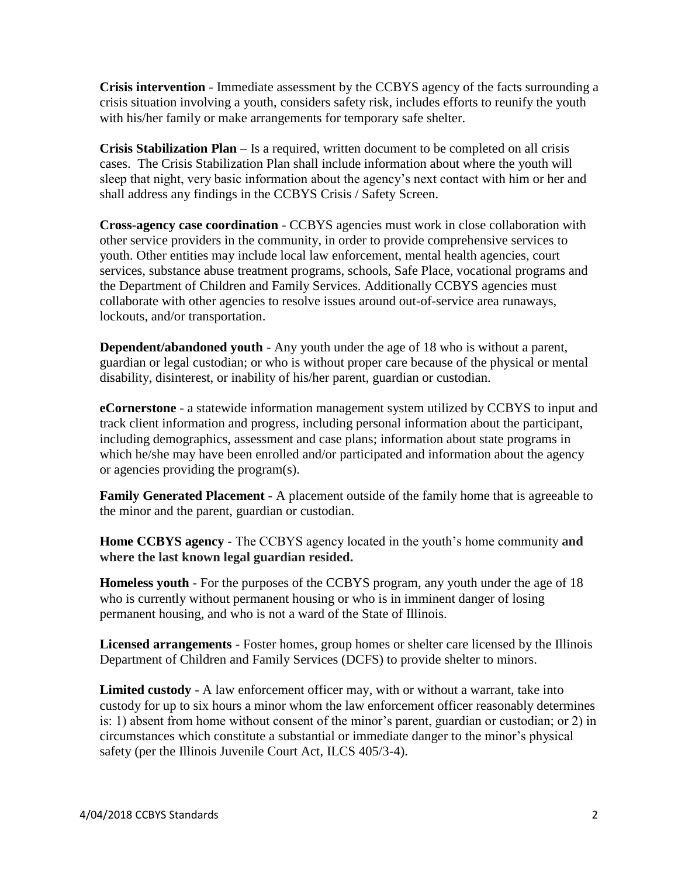**Crisis intervention** - Immediate assessment by the CCBYS agency of the facts surrounding a crisis situation involving a youth, considers safety risk, includes efforts to reunify the youth with his/her family or make arrangements for temporary safe shelter.

**Crisis Stabilization Plan** – Is a required, written document to be completed on all crisis cases. The Crisis Stabilization Plan shall include information about where the youth will sleep that night, very basic information about the agency's next contact with him or her and shall address any findings in the CCBYS Crisis / Safety Screen.

**Cross-agency case coordination** - CCBYS agencies must work in close collaboration with other service providers in the community, in order to provide comprehensive services to youth. Other entities may include local law enforcement, mental health agencies, court services, substance abuse treatment programs, schools, Safe Place, vocational programs and the Department of Children and Family Services. Additionally CCBYS agencies must collaborate with other agencies to resolve issues around out-of-service area runaways, lockouts, and/or transportation.

**Dependent/abandoned youth** - Any youth under the age of 18 who is without a parent, guardian or legal custodian; or who is without proper care because of the physical or mental disability, disinterest, or inability of his/her parent, guardian or custodian.

**eCornerstone** - a statewide information management system utilized by CCBYS to input and track client information and progress, including personal information about the participant, including demographics, assessment and case plans; information about state programs in which he/she may have been enrolled and/or participated and information about the agency or agencies providing the program(s).

**Family Generated Placement** - A placement outside of the family home that is agreeable to the minor and the parent, guardian or custodian.

**Home CCBYS agency** - The CCBYS agency located in the youth's home community **and where the last known legal guardian resided.**

**Homeless youth** - For the purposes of the CCBYS program, any youth under the age of 18 who is currently without permanent housing or who is in imminent danger of losing permanent housing, and who is not a ward of the State of Illinois.

**Licensed arrangements** - Foster homes, group homes or shelter care licensed by the Illinois Department of Children and Family Services (DCFS) to provide shelter to minors.

**Limited custody** - A law enforcement officer may, with or without a warrant, take into custody for up to six hours a minor whom the law enforcement officer reasonably determines is: 1) absent from home without consent of the minor's parent, guardian or custodian; or 2) in circumstances which constitute a substantial or immediate danger to the minor's physical safety (per the Illinois Juvenile Court Act, ILCS 405/3-4).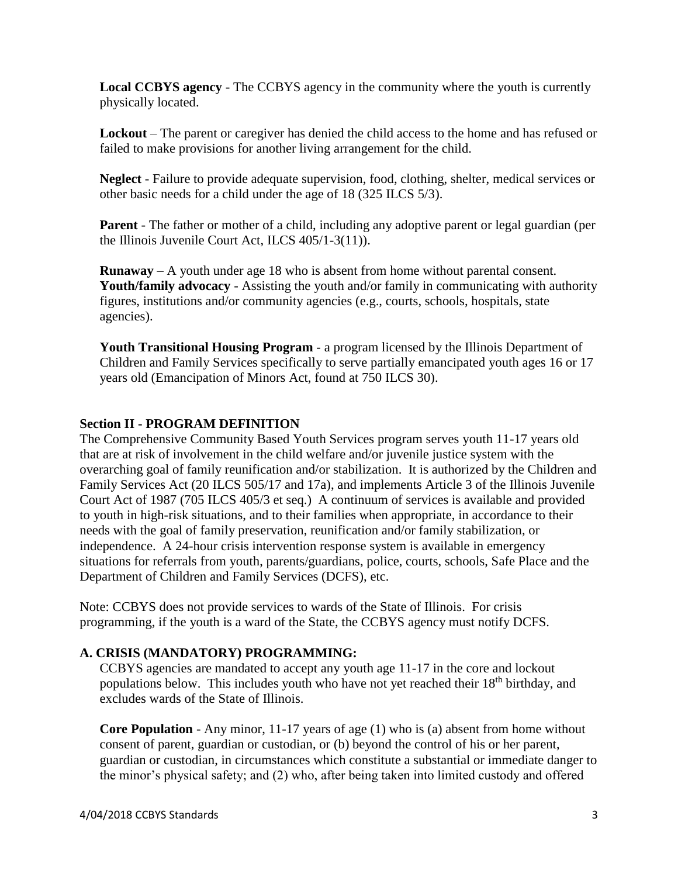**Local CCBYS agency** - The CCBYS agency in the community where the youth is currently physically located.

**Lockout** – The parent or caregiver has denied the child access to the home and has refused or failed to make provisions for another living arrangement for the child.

**Neglect** - Failure to provide adequate supervision, food, clothing, shelter, medical services or other basic needs for a child under the age of 18 (325 ILCS 5/3).

**Parent** - The father or mother of a child, including any adoptive parent or legal guardian (per the Illinois Juvenile Court Act, ILCS 405/1-3(11)).

**Runaway** – A youth under age 18 who is absent from home without parental consent. **Youth/family advocacy** - Assisting the youth and/or family in communicating with authority figures, institutions and/or community agencies (e.g., courts, schools, hospitals, state agencies).

**Youth Transitional Housing Program** - a program licensed by the Illinois Department of Children and Family Services specifically to serve partially emancipated youth ages 16 or 17 years old (Emancipation of Minors Act, found at 750 ILCS 30).

#### **Section II - PROGRAM DEFINITION**

The Comprehensive Community Based Youth Services program serves youth 11-17 years old that are at risk of involvement in the child welfare and/or juvenile justice system with the overarching goal of family reunification and/or stabilization. It is authorized by the Children and Family Services Act (20 ILCS 505/17 and 17a), and implements Article 3 of the Illinois Juvenile Court Act of 1987 (705 ILCS 405/3 et seq.) A continuum of services is available and provided to youth in high-risk situations, and to their families when appropriate, in accordance to their needs with the goal of family preservation, reunification and/or family stabilization, or independence. A 24-hour crisis intervention response system is available in emergency situations for referrals from youth, parents/guardians, police, courts, schools, Safe Place and the Department of Children and Family Services (DCFS), etc.

Note: CCBYS does not provide services to wards of the State of Illinois. For crisis programming, if the youth is a ward of the State, the CCBYS agency must notify DCFS.

# **A. CRISIS (MANDATORY) PROGRAMMING:**

CCBYS agencies are mandated to accept any youth age 11-17 in the core and lockout populations below. This includes youth who have not yet reached their 18<sup>th</sup> birthday, and excludes wards of the State of Illinois.

**Core Population** - Any minor, 11-17 years of age (1) who is (a) absent from home without consent of parent, guardian or custodian, or (b) beyond the control of his or her parent, guardian or custodian, in circumstances which constitute a substantial or immediate danger to the minor's physical safety; and (2) who, after being taken into limited custody and offered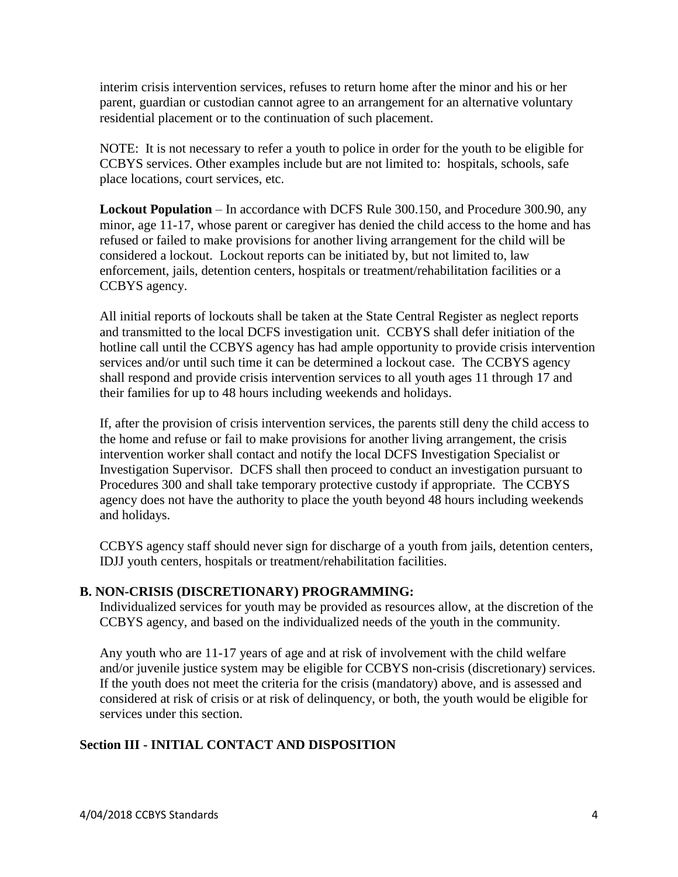interim crisis intervention services, refuses to return home after the minor and his or her parent, guardian or custodian cannot agree to an arrangement for an alternative voluntary residential placement or to the continuation of such placement.

NOTE: It is not necessary to refer a youth to police in order for the youth to be eligible for CCBYS services. Other examples include but are not limited to: hospitals, schools, safe place locations, court services, etc.

**Lockout Population** – In accordance with DCFS Rule 300.150, and Procedure 300.90, any minor, age 11-17, whose parent or caregiver has denied the child access to the home and has refused or failed to make provisions for another living arrangement for the child will be considered a lockout. Lockout reports can be initiated by, but not limited to, law enforcement, jails, detention centers, hospitals or treatment/rehabilitation facilities or a CCBYS agency.

All initial reports of lockouts shall be taken at the State Central Register as neglect reports and transmitted to the local DCFS investigation unit. CCBYS shall defer initiation of the hotline call until the CCBYS agency has had ample opportunity to provide crisis intervention services and/or until such time it can be determined a lockout case. The CCBYS agency shall respond and provide crisis intervention services to all youth ages 11 through 17 and their families for up to 48 hours including weekends and holidays.

If, after the provision of crisis intervention services, the parents still deny the child access to the home and refuse or fail to make provisions for another living arrangement, the crisis intervention worker shall contact and notify the local DCFS Investigation Specialist or Investigation Supervisor. DCFS shall then proceed to conduct an investigation pursuant to Procedures 300 and shall take temporary protective custody if appropriate. The CCBYS agency does not have the authority to place the youth beyond 48 hours including weekends and holidays.

CCBYS agency staff should never sign for discharge of a youth from jails, detention centers, IDJJ youth centers, hospitals or treatment/rehabilitation facilities.

#### **B. NON-CRISIS (DISCRETIONARY) PROGRAMMING:**

Individualized services for youth may be provided as resources allow, at the discretion of the CCBYS agency, and based on the individualized needs of the youth in the community.

Any youth who are 11-17 years of age and at risk of involvement with the child welfare and/or juvenile justice system may be eligible for CCBYS non-crisis (discretionary) services. If the youth does not meet the criteria for the crisis (mandatory) above, and is assessed and considered at risk of crisis or at risk of delinquency, or both, the youth would be eligible for services under this section.

# **Section III - INITIAL CONTACT AND DISPOSITION**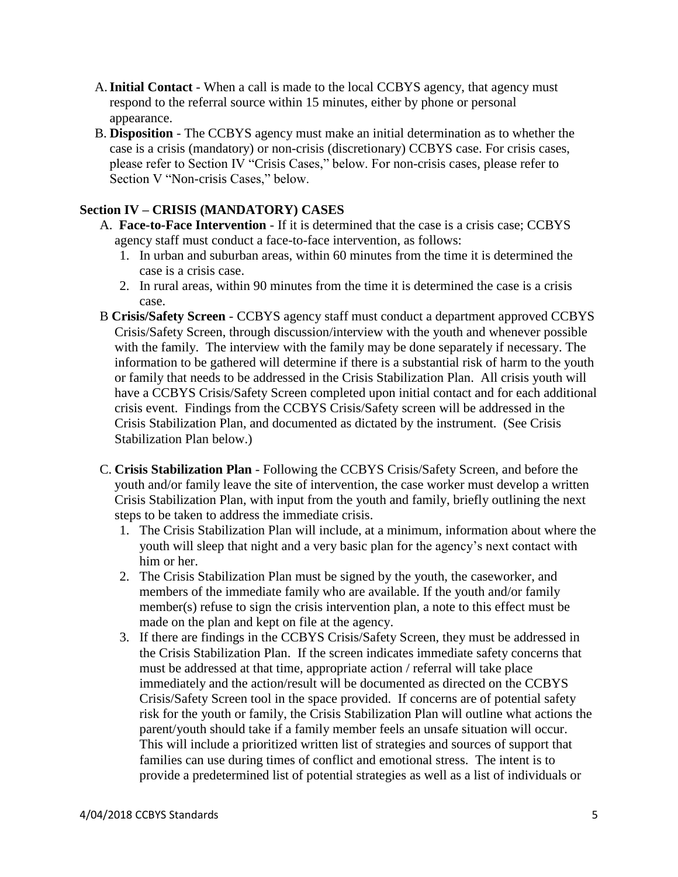- A.**Initial Contact** When a call is made to the local CCBYS agency, that agency must respond to the referral source within 15 minutes, either by phone or personal appearance.
- B. **Disposition** The CCBYS agency must make an initial determination as to whether the case is a crisis (mandatory) or non-crisis (discretionary) CCBYS case. For crisis cases, please refer to Section IV "Crisis Cases," below. For non-crisis cases, please refer to Section V "Non-crisis Cases," below.

# **Section IV – CRISIS (MANDATORY) CASES**

- A. **Face-to-Face Intervention** If it is determined that the case is a crisis case; CCBYS agency staff must conduct a face-to-face intervention, as follows:
	- 1. In urban and suburban areas, within 60 minutes from the time it is determined the case is a crisis case.
	- 2. In rural areas, within 90 minutes from the time it is determined the case is a crisis case.
- B **Crisis/Safety Screen** CCBYS agency staff must conduct a department approved CCBYS Crisis/Safety Screen, through discussion/interview with the youth and whenever possible with the family. The interview with the family may be done separately if necessary. The information to be gathered will determine if there is a substantial risk of harm to the youth or family that needs to be addressed in the Crisis Stabilization Plan. All crisis youth will have a CCBYS Crisis/Safety Screen completed upon initial contact and for each additional crisis event. Findings from the CCBYS Crisis/Safety screen will be addressed in the Crisis Stabilization Plan, and documented as dictated by the instrument. (See Crisis Stabilization Plan below.)
- C. **Crisis Stabilization Plan** Following the CCBYS Crisis/Safety Screen, and before the youth and/or family leave the site of intervention, the case worker must develop a written Crisis Stabilization Plan, with input from the youth and family, briefly outlining the next steps to be taken to address the immediate crisis.
	- 1. The Crisis Stabilization Plan will include, at a minimum, information about where the youth will sleep that night and a very basic plan for the agency's next contact with him or her.
	- 2. The Crisis Stabilization Plan must be signed by the youth, the caseworker, and members of the immediate family who are available. If the youth and/or family member(s) refuse to sign the crisis intervention plan, a note to this effect must be made on the plan and kept on file at the agency.
	- 3. If there are findings in the CCBYS Crisis/Safety Screen, they must be addressed in the Crisis Stabilization Plan. If the screen indicates immediate safety concerns that must be addressed at that time, appropriate action / referral will take place immediately and the action/result will be documented as directed on the CCBYS Crisis/Safety Screen tool in the space provided. If concerns are of potential safety risk for the youth or family, the Crisis Stabilization Plan will outline what actions the parent/youth should take if a family member feels an unsafe situation will occur. This will include a prioritized written list of strategies and sources of support that families can use during times of conflict and emotional stress. The intent is to provide a predetermined list of potential strategies as well as a list of individuals or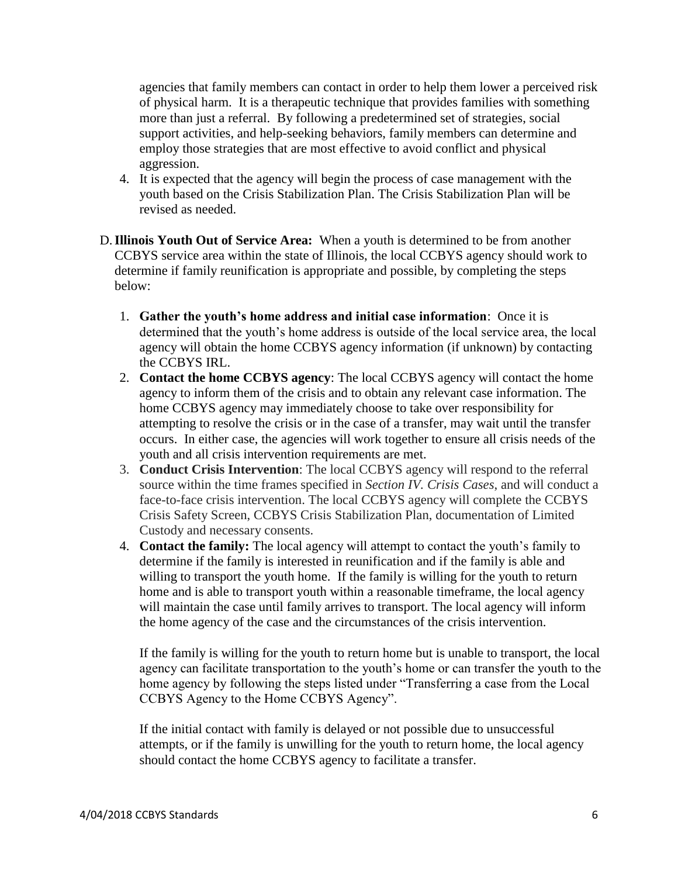agencies that family members can contact in order to help them lower a perceived risk of physical harm. It is a therapeutic technique that provides families with something more than just a referral. By following a predetermined set of strategies, social support activities, and help-seeking behaviors, family members can determine and employ those strategies that are most effective to avoid conflict and physical aggression.

- 4. It is expected that the agency will begin the process of case management with the youth based on the Crisis Stabilization Plan. The Crisis Stabilization Plan will be revised as needed.
- D.**Illinois Youth Out of Service Area:** When a youth is determined to be from another CCBYS service area within the state of Illinois, the local CCBYS agency should work to determine if family reunification is appropriate and possible, by completing the steps below:
	- 1. **Gather the youth's home address and initial case information**: Once it is determined that the youth's home address is outside of the local service area, the local agency will obtain the home CCBYS agency information (if unknown) by contacting the CCBYS IRL.
	- 2. **Contact the home CCBYS agency**: The local CCBYS agency will contact the home agency to inform them of the crisis and to obtain any relevant case information. The home CCBYS agency may immediately choose to take over responsibility for attempting to resolve the crisis or in the case of a transfer, may wait until the transfer occurs. In either case, the agencies will work together to ensure all crisis needs of the youth and all crisis intervention requirements are met.
	- 3. **Conduct Crisis Intervention**: The local CCBYS agency will respond to the referral source within the time frames specified in *Section IV. Crisis Cases*, and will conduct a face-to-face crisis intervention. The local CCBYS agency will complete the CCBYS Crisis Safety Screen, CCBYS Crisis Stabilization Plan, documentation of Limited Custody and necessary consents.
	- 4. **Contact the family:** The local agency will attempt to contact the youth's family to determine if the family is interested in reunification and if the family is able and willing to transport the youth home. If the family is willing for the youth to return home and is able to transport youth within a reasonable timeframe, the local agency will maintain the case until family arrives to transport. The local agency will inform the home agency of the case and the circumstances of the crisis intervention.

If the family is willing for the youth to return home but is unable to transport, the local agency can facilitate transportation to the youth's home or can transfer the youth to the home agency by following the steps listed under "Transferring a case from the Local CCBYS Agency to the Home CCBYS Agency".

If the initial contact with family is delayed or not possible due to unsuccessful attempts, or if the family is unwilling for the youth to return home, the local agency should contact the home CCBYS agency to facilitate a transfer.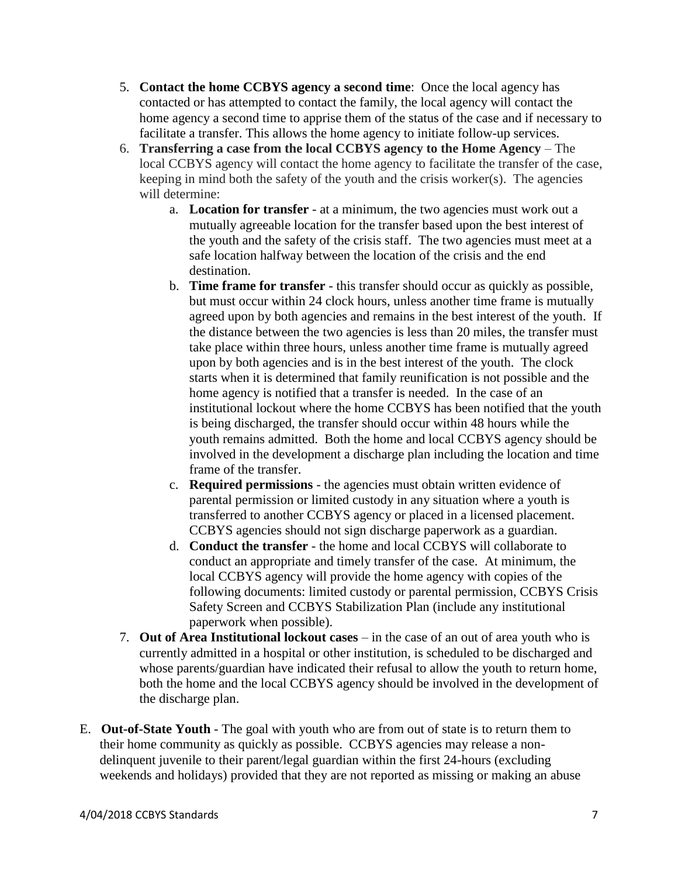- 5. **Contact the home CCBYS agency a second time**: Once the local agency has contacted or has attempted to contact the family, the local agency will contact the home agency a second time to apprise them of the status of the case and if necessary to facilitate a transfer. This allows the home agency to initiate follow-up services.
- 6. **Transferring a case from the local CCBYS agency to the Home Agency** The local CCBYS agency will contact the home agency to facilitate the transfer of the case, keeping in mind both the safety of the youth and the crisis worker(s). The agencies will determine:
	- a. **Location for transfer** at a minimum, the two agencies must work out a mutually agreeable location for the transfer based upon the best interest of the youth and the safety of the crisis staff. The two agencies must meet at a safe location halfway between the location of the crisis and the end destination.
	- b. **Time frame for transfer** this transfer should occur as quickly as possible, but must occur within 24 clock hours, unless another time frame is mutually agreed upon by both agencies and remains in the best interest of the youth. If the distance between the two agencies is less than 20 miles, the transfer must take place within three hours, unless another time frame is mutually agreed upon by both agencies and is in the best interest of the youth. The clock starts when it is determined that family reunification is not possible and the home agency is notified that a transfer is needed. In the case of an institutional lockout where the home CCBYS has been notified that the youth is being discharged, the transfer should occur within 48 hours while the youth remains admitted. Both the home and local CCBYS agency should be involved in the development a discharge plan including the location and time frame of the transfer.
	- c. **Required permissions**  the agencies must obtain written evidence of parental permission or limited custody in any situation where a youth is transferred to another CCBYS agency or placed in a licensed placement. CCBYS agencies should not sign discharge paperwork as a guardian.
	- d. **Conduct the transfer** the home and local CCBYS will collaborate to conduct an appropriate and timely transfer of the case. At minimum, the local CCBYS agency will provide the home agency with copies of the following documents: limited custody or parental permission, CCBYS Crisis Safety Screen and CCBYS Stabilization Plan (include any institutional paperwork when possible).
- 7. **Out of Area Institutional lockout cases** in the case of an out of area youth who is currently admitted in a hospital or other institution, is scheduled to be discharged and whose parents/guardian have indicated their refusal to allow the youth to return home, both the home and the local CCBYS agency should be involved in the development of the discharge plan.
- E. **Out-of-State Youth** The goal with youth who are from out of state is to return them to their home community as quickly as possible. CCBYS agencies may release a nondelinquent juvenile to their parent/legal guardian within the first 24-hours (excluding weekends and holidays) provided that they are not reported as missing or making an abuse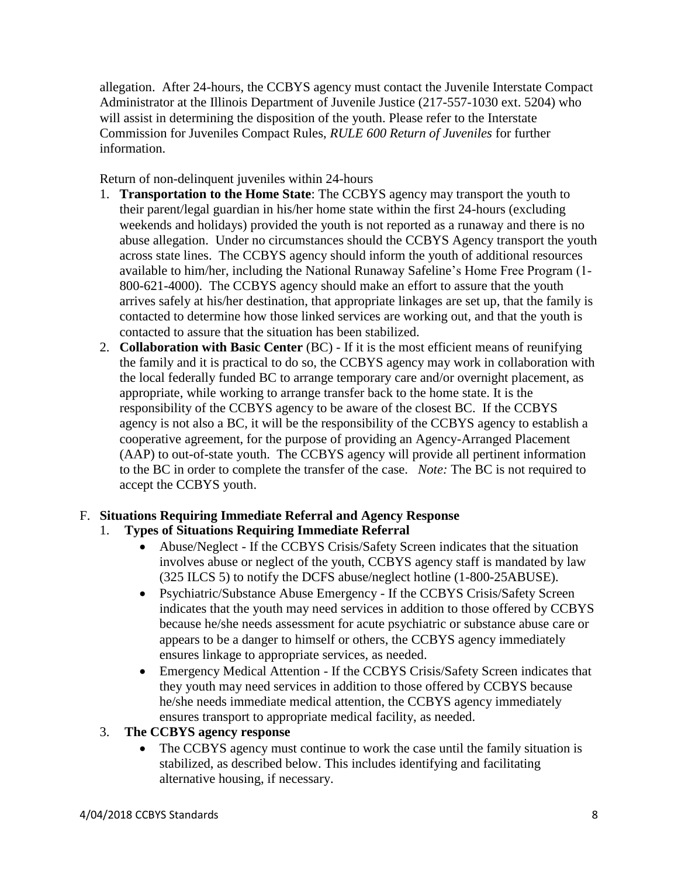allegation. After 24-hours, the CCBYS agency must contact the Juvenile Interstate Compact Administrator at the Illinois Department of Juvenile Justice (217-557-1030 ext. 5204) who will assist in determining the disposition of the youth. Please refer to the Interstate Commission for Juveniles Compact Rules, *RULE 600 Return of Juveniles* for further information.

Return of non-delinquent juveniles within 24-hours

- 1. **Transportation to the Home State**: The CCBYS agency may transport the youth to their parent/legal guardian in his/her home state within the first 24-hours (excluding weekends and holidays) provided the youth is not reported as a runaway and there is no abuse allegation. Under no circumstances should the CCBYS Agency transport the youth across state lines. The CCBYS agency should inform the youth of additional resources available to him/her, including the National Runaway Safeline's Home Free Program (1- 800-621-4000). The CCBYS agency should make an effort to assure that the youth arrives safely at his/her destination, that appropriate linkages are set up, that the family is contacted to determine how those linked services are working out, and that the youth is contacted to assure that the situation has been stabilized.
- 2. **Collaboration with Basic Center** (BC) If it is the most efficient means of reunifying the family and it is practical to do so, the CCBYS agency may work in collaboration with the local federally funded BC to arrange temporary care and/or overnight placement, as appropriate, while working to arrange transfer back to the home state. It is the responsibility of the CCBYS agency to be aware of the closest BC. If the CCBYS agency is not also a BC, it will be the responsibility of the CCBYS agency to establish a cooperative agreement, for the purpose of providing an Agency-Arranged Placement (AAP) to out-of-state youth. The CCBYS agency will provide all pertinent information to the BC in order to complete the transfer of the case. *Note:* The BC is not required to accept the CCBYS youth.

# F. **Situations Requiring Immediate Referral and Agency Response**

- 1. **Types of Situations Requiring Immediate Referral**
	- Abuse/Neglect If the CCBYS Crisis/Safety Screen indicates that the situation involves abuse or neglect of the youth, CCBYS agency staff is mandated by law (325 ILCS 5) to notify the DCFS abuse/neglect hotline (1-800-25ABUSE).
	- Psychiatric/Substance Abuse Emergency If the CCBYS Crisis/Safety Screen indicates that the youth may need services in addition to those offered by CCBYS because he/she needs assessment for acute psychiatric or substance abuse care or appears to be a danger to himself or others, the CCBYS agency immediately ensures linkage to appropriate services, as needed.
	- Emergency Medical Attention If the CCBYS Crisis/Safety Screen indicates that they youth may need services in addition to those offered by CCBYS because he/she needs immediate medical attention, the CCBYS agency immediately ensures transport to appropriate medical facility, as needed.
- 3. **The CCBYS agency response** 
	- The CCBYS agency must continue to work the case until the family situation is stabilized, as described below. This includes identifying and facilitating alternative housing, if necessary.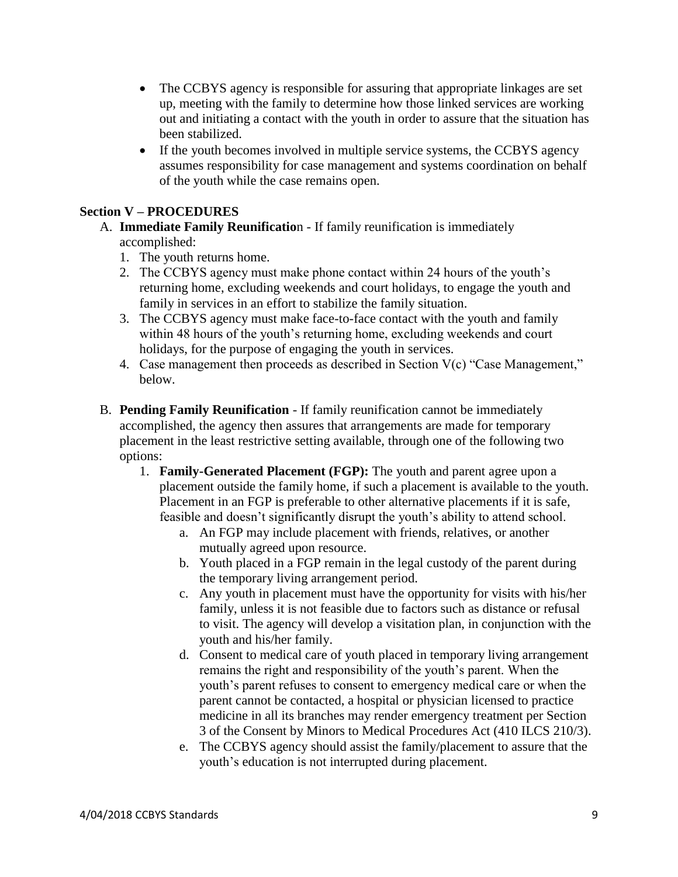- The CCBYS agency is responsible for assuring that appropriate linkages are set up, meeting with the family to determine how those linked services are working out and initiating a contact with the youth in order to assure that the situation has been stabilized.
- If the youth becomes involved in multiple service systems, the CCBYS agency assumes responsibility for case management and systems coordination on behalf of the youth while the case remains open.

#### **Section V – PROCEDURES**

- A. **Immediate Family Reunificatio**n If family reunification is immediately accomplished:
	- 1. The youth returns home.
	- 2. The CCBYS agency must make phone contact within 24 hours of the youth's returning home, excluding weekends and court holidays, to engage the youth and family in services in an effort to stabilize the family situation.
	- 3. The CCBYS agency must make face-to-face contact with the youth and family within 48 hours of the youth's returning home, excluding weekends and court holidays, for the purpose of engaging the youth in services.
	- 4. Case management then proceeds as described in Section V(c) "Case Management," below.
- B. **Pending Family Reunification** If family reunification cannot be immediately accomplished, the agency then assures that arrangements are made for temporary placement in the least restrictive setting available, through one of the following two options:
	- 1. **Family-Generated Placement (FGP):** The youth and parent agree upon a placement outside the family home, if such a placement is available to the youth. Placement in an FGP is preferable to other alternative placements if it is safe, feasible and doesn't significantly disrupt the youth's ability to attend school.
		- a. An FGP may include placement with friends, relatives, or another mutually agreed upon resource.
		- b. Youth placed in a FGP remain in the legal custody of the parent during the temporary living arrangement period.
		- c. Any youth in placement must have the opportunity for visits with his/her family, unless it is not feasible due to factors such as distance or refusal to visit. The agency will develop a visitation plan, in conjunction with the youth and his/her family.
		- d. Consent to medical care of youth placed in temporary living arrangement remains the right and responsibility of the youth's parent. When the youth's parent refuses to consent to emergency medical care or when the parent cannot be contacted, a hospital or physician licensed to practice medicine in all its branches may render emergency treatment per Section 3 of the Consent by Minors to Medical Procedures Act (410 ILCS 210/3).
		- e. The CCBYS agency should assist the family/placement to assure that the youth's education is not interrupted during placement.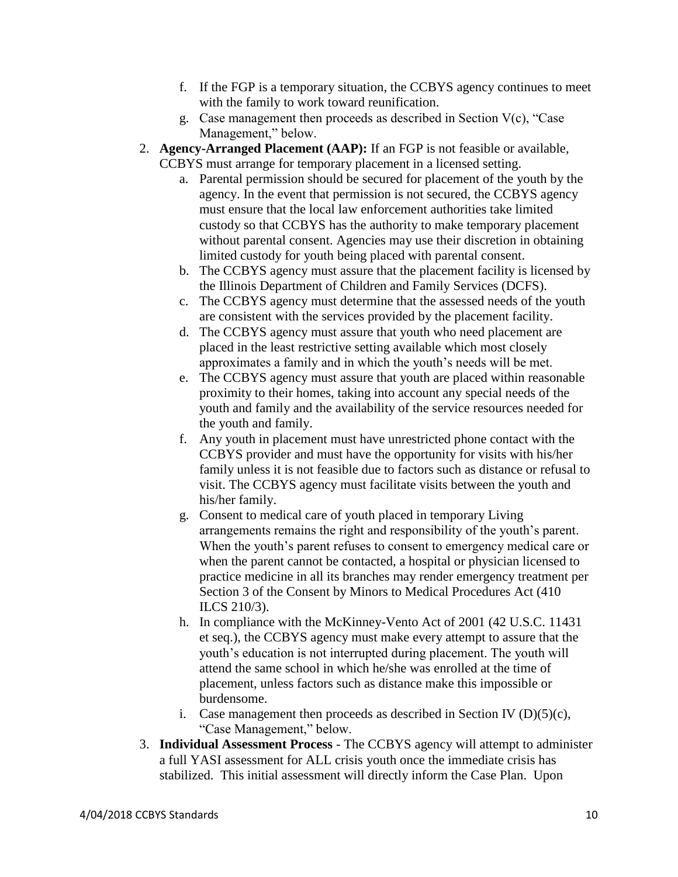- f. If the FGP is a temporary situation, the CCBYS agency continues to meet with the family to work toward reunification.
- g. Case management then proceeds as described in Section V(c), "Case Management," below.
- 2. **Agency-Arranged Placement (AAP):** If an FGP is not feasible or available, CCBYS must arrange for temporary placement in a licensed setting.
	- a. Parental permission should be secured for placement of the youth by the agency. In the event that permission is not secured, the CCBYS agency must ensure that the local law enforcement authorities take limited custody so that CCBYS has the authority to make temporary placement without parental consent. Agencies may use their discretion in obtaining limited custody for youth being placed with parental consent.
	- b. The CCBYS agency must assure that the placement facility is licensed by the Illinois Department of Children and Family Services (DCFS).
	- c. The CCBYS agency must determine that the assessed needs of the youth are consistent with the services provided by the placement facility.
	- d. The CCBYS agency must assure that youth who need placement are placed in the least restrictive setting available which most closely approximates a family and in which the youth's needs will be met.
	- e. The CCBYS agency must assure that youth are placed within reasonable proximity to their homes, taking into account any special needs of the youth and family and the availability of the service resources needed for the youth and family.
	- f. Any youth in placement must have unrestricted phone contact with the CCBYS provider and must have the opportunity for visits with his/her family unless it is not feasible due to factors such as distance or refusal to visit. The CCBYS agency must facilitate visits between the youth and his/her family.
	- g. Consent to medical care of youth placed in temporary Living arrangements remains the right and responsibility of the youth's parent. When the youth's parent refuses to consent to emergency medical care or when the parent cannot be contacted, a hospital or physician licensed to practice medicine in all its branches may render emergency treatment per Section 3 of the Consent by Minors to Medical Procedures Act (410 ILCS 210/3).
	- h. In compliance with the McKinney-Vento Act of 2001 (42 U.S.C. 11431 et seq.), the CCBYS agency must make every attempt to assure that the youth's education is not interrupted during placement. The youth will attend the same school in which he/she was enrolled at the time of placement, unless factors such as distance make this impossible or burdensome.
	- i. Case management then proceeds as described in Section IV  $(D)(5)(c)$ , "Case Management," below.
- 3. **Individual Assessment Process** The CCBYS agency will attempt to administer a full YASI assessment for ALL crisis youth once the immediate crisis has stabilized. This initial assessment will directly inform the Case Plan. Upon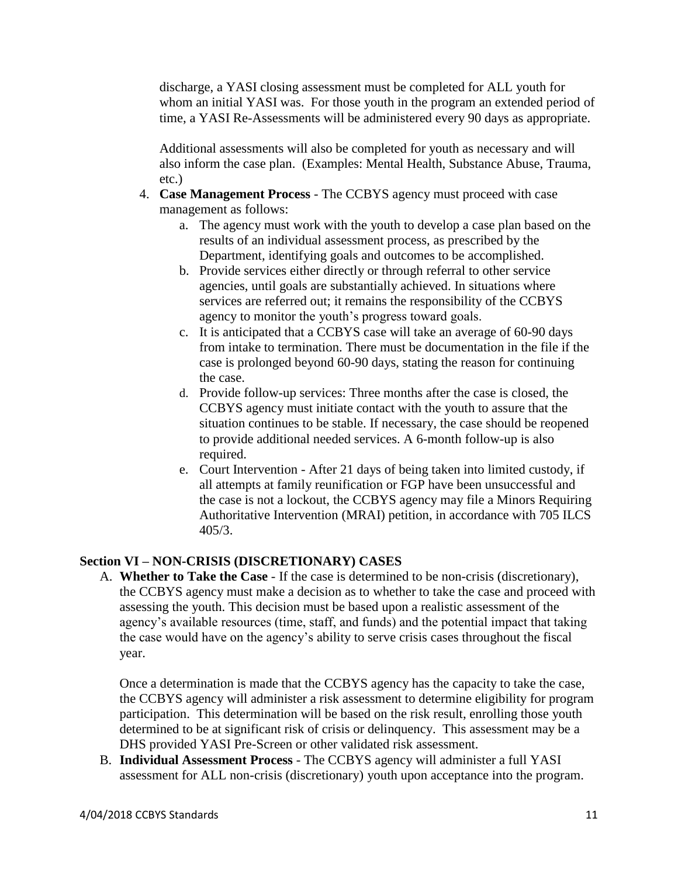discharge, a YASI closing assessment must be completed for ALL youth for whom an initial YASI was. For those youth in the program an extended period of time, a YASI Re-Assessments will be administered every 90 days as appropriate.

Additional assessments will also be completed for youth as necessary and will also inform the case plan. (Examples: Mental Health, Substance Abuse, Trauma, etc.)

- 4. **Case Management Process** The CCBYS agency must proceed with case management as follows:
	- a. The agency must work with the youth to develop a case plan based on the results of an individual assessment process, as prescribed by the Department, identifying goals and outcomes to be accomplished.
	- b. Provide services either directly or through referral to other service agencies, until goals are substantially achieved. In situations where services are referred out; it remains the responsibility of the CCBYS agency to monitor the youth's progress toward goals.
	- c. It is anticipated that a CCBYS case will take an average of 60-90 days from intake to termination. There must be documentation in the file if the case is prolonged beyond 60-90 days, stating the reason for continuing the case.
	- d. Provide follow-up services: Three months after the case is closed, the CCBYS agency must initiate contact with the youth to assure that the situation continues to be stable. If necessary, the case should be reopened to provide additional needed services. A 6-month follow-up is also required.
	- e. Court Intervention After 21 days of being taken into limited custody, if all attempts at family reunification or FGP have been unsuccessful and the case is not a lockout, the CCBYS agency may file a Minors Requiring Authoritative Intervention (MRAI) petition, in accordance with 705 ILCS 405/3.

# **Section VI – NON-CRISIS (DISCRETIONARY) CASES**

A. **Whether to Take the Case** - If the case is determined to be non-crisis (discretionary), the CCBYS agency must make a decision as to whether to take the case and proceed with assessing the youth. This decision must be based upon a realistic assessment of the agency's available resources (time, staff, and funds) and the potential impact that taking the case would have on the agency's ability to serve crisis cases throughout the fiscal year.

Once a determination is made that the CCBYS agency has the capacity to take the case, the CCBYS agency will administer a risk assessment to determine eligibility for program participation. This determination will be based on the risk result, enrolling those youth determined to be at significant risk of crisis or delinquency. This assessment may be a DHS provided YASI Pre-Screen or other validated risk assessment.

B. **Individual Assessment Process** - The CCBYS agency will administer a full YASI assessment for ALL non-crisis (discretionary) youth upon acceptance into the program.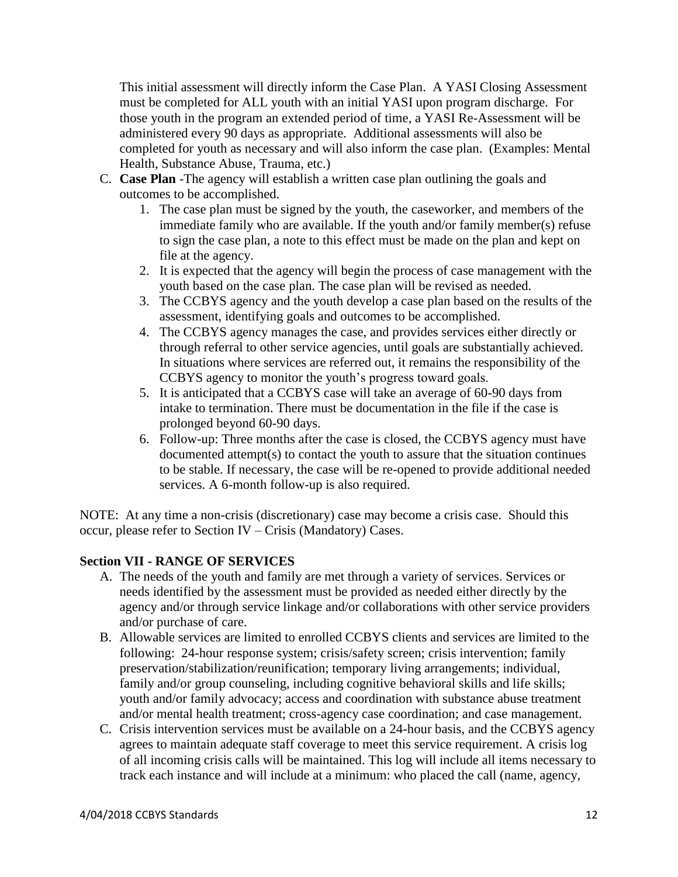This initial assessment will directly inform the Case Plan. A YASI Closing Assessment must be completed for ALL youth with an initial YASI upon program discharge. For those youth in the program an extended period of time, a YASI Re-Assessment will be administered every 90 days as appropriate. Additional assessments will also be completed for youth as necessary and will also inform the case plan. (Examples: Mental Health, Substance Abuse, Trauma, etc.)

- C. **Case Plan** -The agency will establish a written case plan outlining the goals and outcomes to be accomplished.
	- 1. The case plan must be signed by the youth, the caseworker, and members of the immediate family who are available. If the youth and/or family member(s) refuse to sign the case plan, a note to this effect must be made on the plan and kept on file at the agency.
	- 2. It is expected that the agency will begin the process of case management with the youth based on the case plan. The case plan will be revised as needed.
	- 3. The CCBYS agency and the youth develop a case plan based on the results of the assessment, identifying goals and outcomes to be accomplished.
	- 4. The CCBYS agency manages the case, and provides services either directly or through referral to other service agencies, until goals are substantially achieved. In situations where services are referred out, it remains the responsibility of the CCBYS agency to monitor the youth's progress toward goals.
	- 5. It is anticipated that a CCBYS case will take an average of 60-90 days from intake to termination. There must be documentation in the file if the case is prolonged beyond 60-90 days.
	- 6. Follow-up: Three months after the case is closed, the CCBYS agency must have documented attempt(s) to contact the youth to assure that the situation continues to be stable. If necessary, the case will be re-opened to provide additional needed services. A 6-month follow-up is also required.

NOTE: At any time a non-crisis (discretionary) case may become a crisis case. Should this occur, please refer to Section IV – Crisis (Mandatory) Cases.

# **Section VII - RANGE OF SERVICES**

- A. The needs of the youth and family are met through a variety of services. Services or needs identified by the assessment must be provided as needed either directly by the agency and/or through service linkage and/or collaborations with other service providers and/or purchase of care.
- B. Allowable services are limited to enrolled CCBYS clients and services are limited to the following: 24-hour response system; crisis/safety screen; crisis intervention; family preservation/stabilization/reunification; temporary living arrangements; individual, family and/or group counseling, including cognitive behavioral skills and life skills; youth and/or family advocacy; access and coordination with substance abuse treatment and/or mental health treatment; cross-agency case coordination; and case management.
- C. Crisis intervention services must be available on a 24-hour basis, and the CCBYS agency agrees to maintain adequate staff coverage to meet this service requirement. A crisis log of all incoming crisis calls will be maintained. This log will include all items necessary to track each instance and will include at a minimum: who placed the call (name, agency,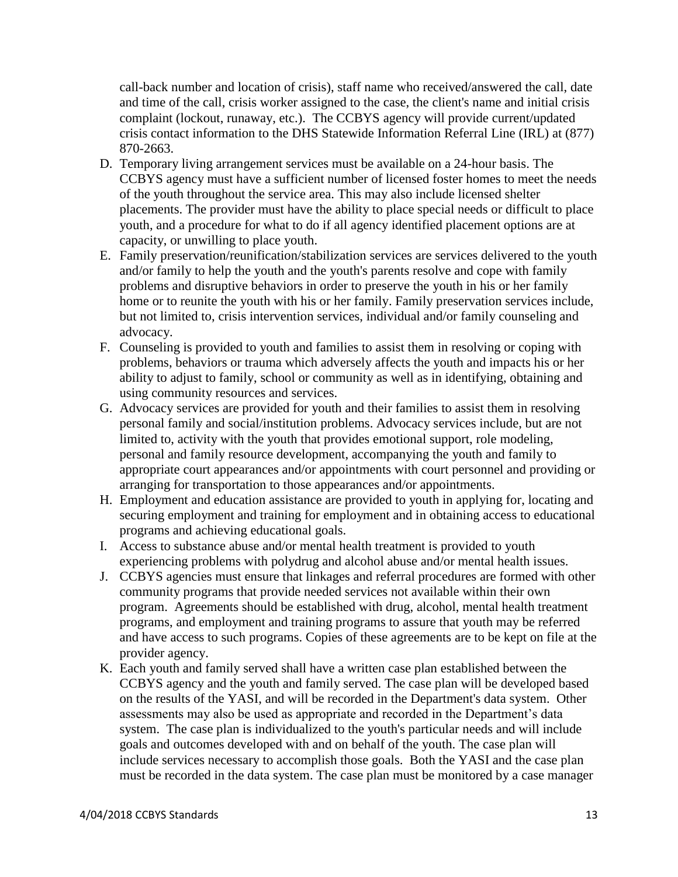call-back number and location of crisis), staff name who received/answered the call, date and time of the call, crisis worker assigned to the case, the client's name and initial crisis complaint (lockout, runaway, etc.). The CCBYS agency will provide current/updated crisis contact information to the DHS Statewide Information Referral Line (IRL) at (877) 870-2663.

- D. Temporary living arrangement services must be available on a 24-hour basis. The CCBYS agency must have a sufficient number of licensed foster homes to meet the needs of the youth throughout the service area. This may also include licensed shelter placements. The provider must have the ability to place special needs or difficult to place youth, and a procedure for what to do if all agency identified placement options are at capacity, or unwilling to place youth.
- E. Family preservation/reunification/stabilization services are services delivered to the youth and/or family to help the youth and the youth's parents resolve and cope with family problems and disruptive behaviors in order to preserve the youth in his or her family home or to reunite the youth with his or her family. Family preservation services include, but not limited to, crisis intervention services, individual and/or family counseling and advocacy.
- F. Counseling is provided to youth and families to assist them in resolving or coping with problems, behaviors or trauma which adversely affects the youth and impacts his or her ability to adjust to family, school or community as well as in identifying, obtaining and using community resources and services.
- G. Advocacy services are provided for youth and their families to assist them in resolving personal family and social/institution problems. Advocacy services include, but are not limited to, activity with the youth that provides emotional support, role modeling, personal and family resource development, accompanying the youth and family to appropriate court appearances and/or appointments with court personnel and providing or arranging for transportation to those appearances and/or appointments.
- H. Employment and education assistance are provided to youth in applying for, locating and securing employment and training for employment and in obtaining access to educational programs and achieving educational goals.
- I. Access to substance abuse and/or mental health treatment is provided to youth experiencing problems with polydrug and alcohol abuse and/or mental health issues.
- J. CCBYS agencies must ensure that linkages and referral procedures are formed with other community programs that provide needed services not available within their own program. Agreements should be established with drug, alcohol, mental health treatment programs, and employment and training programs to assure that youth may be referred and have access to such programs. Copies of these agreements are to be kept on file at the provider agency.
- K. Each youth and family served shall have a written case plan established between the CCBYS agency and the youth and family served. The case plan will be developed based on the results of the YASI, and will be recorded in the Department's data system. Other assessments may also be used as appropriate and recorded in the Department's data system. The case plan is individualized to the youth's particular needs and will include goals and outcomes developed with and on behalf of the youth. The case plan will include services necessary to accomplish those goals. Both the YASI and the case plan must be recorded in the data system. The case plan must be monitored by a case manager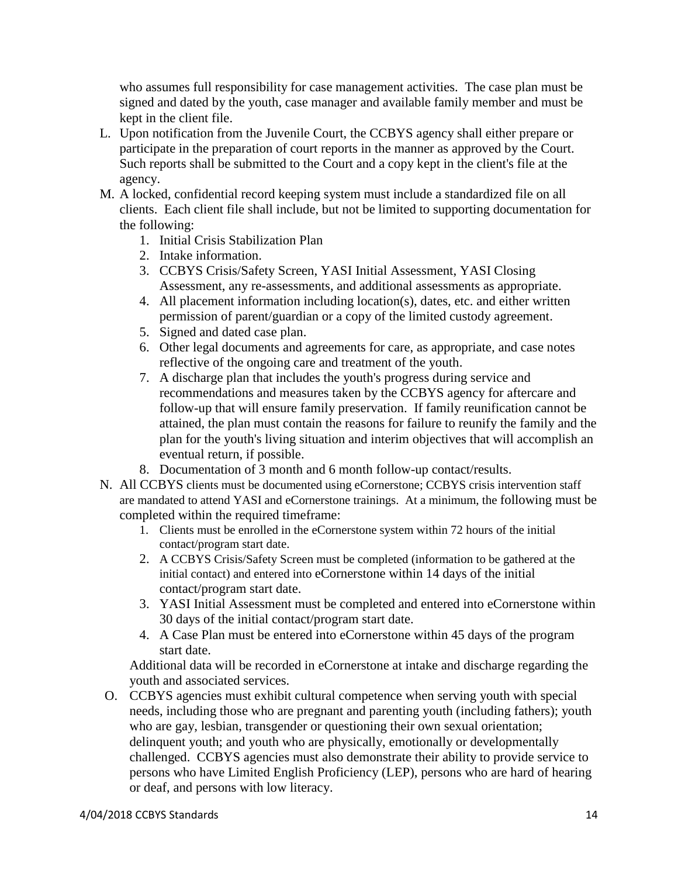who assumes full responsibility for case management activities. The case plan must be signed and dated by the youth, case manager and available family member and must be kept in the client file.

- L. Upon notification from the Juvenile Court, the CCBYS agency shall either prepare or participate in the preparation of court reports in the manner as approved by the Court. Such reports shall be submitted to the Court and a copy kept in the client's file at the agency.
- M. A locked, confidential record keeping system must include a standardized file on all clients. Each client file shall include, but not be limited to supporting documentation for the following:
	- 1. Initial Crisis Stabilization Plan
	- 2. Intake information.
	- 3. CCBYS Crisis/Safety Screen, YASI Initial Assessment, YASI Closing Assessment, any re-assessments, and additional assessments as appropriate.
	- 4. All placement information including location(s), dates, etc. and either written permission of parent/guardian or a copy of the limited custody agreement.
	- 5. Signed and dated case plan.
	- 6. Other legal documents and agreements for care, as appropriate, and case notes reflective of the ongoing care and treatment of the youth.
	- 7. A discharge plan that includes the youth's progress during service and recommendations and measures taken by the CCBYS agency for aftercare and follow-up that will ensure family preservation. If family reunification cannot be attained, the plan must contain the reasons for failure to reunify the family and the plan for the youth's living situation and interim objectives that will accomplish an eventual return, if possible.
	- 8. Documentation of 3 month and 6 month follow-up contact/results.
- N. All CCBYS clients must be documented using eCornerstone; CCBYS crisis intervention staff are mandated to attend YASI and eCornerstone trainings. At a minimum, the following must be completed within the required timeframe:
	- 1. Clients must be enrolled in the eCornerstone system within 72 hours of the initial contact/program start date.
	- 2. A CCBYS Crisis/Safety Screen must be completed (information to be gathered at the initial contact) and entered into eCornerstone within 14 days of the initial contact/program start date.
	- 3. YASI Initial Assessment must be completed and entered into eCornerstone within 30 days of the initial contact/program start date.
	- 4. A Case Plan must be entered into eCornerstone within 45 days of the program start date.

Additional data will be recorded in eCornerstone at intake and discharge regarding the youth and associated services.

O. CCBYS agencies must exhibit cultural competence when serving youth with special needs, including those who are pregnant and parenting youth (including fathers); youth who are gay, lesbian, transgender or questioning their own sexual orientation; delinquent youth; and youth who are physically, emotionally or developmentally challenged. CCBYS agencies must also demonstrate their ability to provide service to persons who have Limited English Proficiency (LEP), persons who are hard of hearing or deaf, and persons with low literacy.